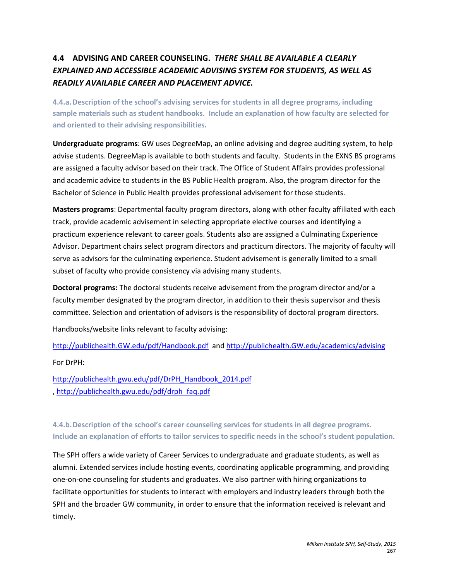# **4.4 ADVISING AND CAREER COUNSELING.** *THERE SHALL BE AVAILABLE A CLEARLY EXPLAINED AND ACCESSIBLE ACADEMIC ADVISING SYSTEM FOR STUDENTS, AS WELL AS READILY AVAILABLE CAREER AND PLACEMENT ADVICE.*

**4.4.a.Description of the school's advising services for students in all degree programs, including sample materials such as student handbooks. Include an explanation of how faculty are selected for and oriented to their advising responsibilities.** 

**Undergraduate programs**: GW uses DegreeMap, an online advising and degree auditing system, to help advise students. DegreeMap is available to both students and faculty. Students in the EXNS BS programs are assigned a faculty advisor based on their track. The Office of Student Affairs provides professional and academic advice to students in the BS Public Health program. Also, the program director for the Bachelor of Science in Public Health provides professional advisement for those students.

**Masters programs**: Departmental faculty program directors, along with other faculty affiliated with each track, provide academic advisement in selecting appropriate elective courses and identifying a practicum experience relevant to career goals. Students also are assigned a Culminating Experience Advisor. Department chairs select program directors and practicum directors. The majority of faculty will serve as advisors for the culminating experience. Student advisement is generally limited to a small subset of faculty who provide consistency via advising many students.

**Doctoral programs:** The doctoral students receive advisement from the program director and/or a faculty member designated by the program director, in addition to their thesis supervisor and thesis committee. Selection and orientation of advisors is the responsibility of doctoral program directors.

Handbooks/website links relevant to faculty advising:

[http://publichealth.GW.edu/pdf/Handbook.pdf](http://publichealth.gwu.edu/pdf/Handbook.pdf) an[d http://publichealth.GW.edu/academics/advising](http://publichealth.gwu.edu/academics/advising)

For DrPH:

[http://publichealth.gwu.edu/pdf/DrPH\\_Handbook\\_2014.pdf](http://publichealth.gwu.edu/pdf/DrPH_Handbook_2014.pdf) , [http://publichealth.gwu.edu/pdf/drph\\_faq.pdf](http://publichealth.gwu.edu/pdf/drph_faq.pdf)

**4.4.b.Description of the school's career counseling services for students in all degree programs. Include an explanation of efforts to tailor services to specific needs in the school's student population.** 

The SPH offers a wide variety of Career Services to undergraduate and graduate students, as well as alumni. Extended services include hosting events, coordinating applicable programming, and providing one-on-one counseling for students and graduates. We also partner with hiring organizations to facilitate opportunities for students to interact with employers and industry leaders through both the SPH and the broader GW community, in order to ensure that the information received is relevant and timely.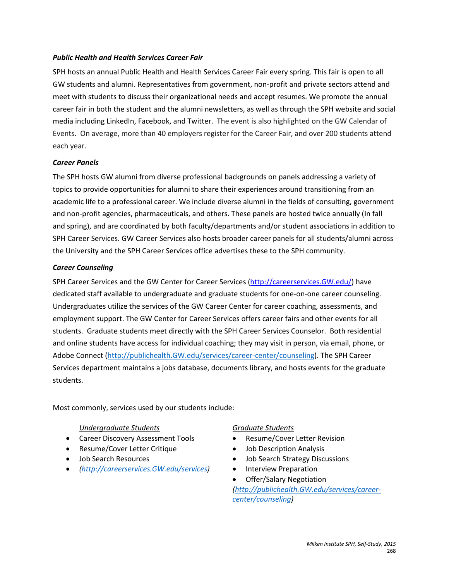#### *Public Health and Health Services Career Fair*

SPH hosts an annual Public Health and Health Services Career Fair every spring. This fair is open to all GW students and alumni. Representatives from government, non-profit and private sectors attend and meet with students to discuss their organizational needs and accept resumes. We promote the annual career fair in both the student and the alumni newsletters, as well as through the SPH website and social media including LinkedIn, Facebook, and Twitter. The event is also highlighted on the GW Calendar of Events. On average, more than 40 employers register for the Career Fair, and over 200 students attend each year.

#### *Career Panels*

The SPH hosts GW alumni from diverse professional backgrounds on panels addressing a variety of topics to provide opportunities for alumni to share their experiences around transitioning from an academic life to a professional career. We include diverse alumni in the fields of consulting, government and non-profit agencies, pharmaceuticals, and others. These panels are hosted twice annually (In fall and spring), and are coordinated by both faculty/departments and/or student associations in addition to SPH Career Services. GW Career Services also hosts broader career panels for all students/alumni across the University and the SPH Career Services office advertises these to the SPH community.

### *Career Counseling*

SPH Career Services and the GW Center for Career Services [\(http://careerservices.GW.edu/\)](http://careerservices.gwu.edu/) have dedicated staff available to undergraduate and graduate students for one-on-one career counseling. Undergraduates utilize the services of the GW Career Center for career coaching, assessments, and employment support. The GW Center for Career Services offers career fairs and other events for all students. Graduate students meet directly with the SPH Career Services Counselor. Both residential and online students have access for individual coaching; they may visit in person, via email, phone, or Adobe Connect [\(http://publichealth.GW.edu/services/career-center/counseling\)](http://publichealth.gwu.edu/services/career-center/counseling). The SPH Career Services department maintains a jobs database, documents library, and hosts events for the graduate students.

Most commonly, services used by our students include:

#### *Undergraduate Students Graduate Students*

- Career Discovery Assessment Tools Resume/Cover Letter Revision
- Resume/Cover Letter Critique Job Description Analysis
- 
- *[\(http://careerservices.GW.edu/services\)](http://careerservices.gwu.edu/services)* Interview Preparation

- 
- 
- Job Search Resources Job Search Strategy Discussions
	-
	- Offer/Salary Negotiation

*[\(http://publichealth.GW.edu/services/career](http://publichealth.gwu.edu/services/career-center/counseling)[center/counseling\)](http://publichealth.gwu.edu/services/career-center/counseling)*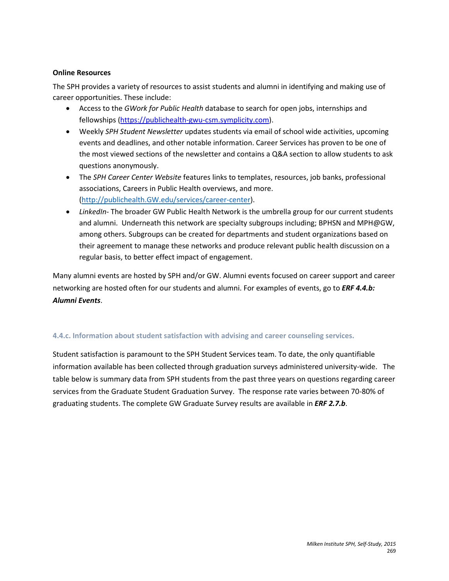#### **Online Resources**

The SPH provides a variety of resources to assist students and alumni in identifying and making use of career opportunities. These include:

- Access to the *GWork for Public Health* database to search for open jobs, internships and fellowships [\(https://publichealth-gwu-csm.symplicity.com\)](https://publichealth-gwu-csm.symplicity.com/).
- Weekly *SPH Student Newsletter* updates students via email of school wide activities, upcoming events and deadlines, and other notable information. Career Services has proven to be one of the most viewed sections of the newsletter and contains a Q&A section to allow students to ask questions anonymously.
- The *SPH Career Center Website* features links to templates, resources, job banks, professional associations, Careers in Public Health overviews, and more. [\(http://publichealth.GW.edu/services/career-center\)](http://publichealth.gwu.edu/services/career-center).
- *LinkedIn* The broader GW Public Health Network is the umbrella group for our current students and alumni. Underneath this network are specialty subgroups including; BPHSN and MPH@GW, among others. Subgroups can be created for departments and student organizations based on their agreement to manage these networks and produce relevant public health discussion on a regular basis, to better effect impact of engagement.

Many alumni events are hosted by SPH and/or GW. Alumni events focused on career support and career networking are hosted often for our students and alumni. For examples of events, go to *ERF 4.4.b: Alumni Events*.

# **4.4.c. Information about student satisfaction with advising and career counseling services.**

Student satisfaction is paramount to the SPH Student Services team. To date, the only quantifiable information available has been collected through graduation surveys administered university-wide. The table below is summary data from SPH students from the past three years on questions regarding career services from the Graduate Student Graduation Survey. The response rate varies between 70-80% of graduating students. The complete GW Graduate Survey results are available in *ERF 2.7.b*.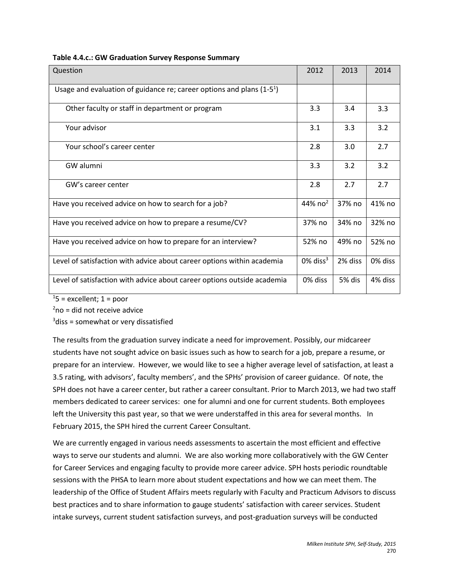| Question                                                                | 2012                    | 2013    | 2014    |
|-------------------------------------------------------------------------|-------------------------|---------|---------|
| Usage and evaluation of guidance re; career options and plans $(1-51)$  |                         |         |         |
| Other faculty or staff in department or program                         | 3.3                     | 3.4     | 3.3     |
| Your advisor                                                            | 3.1                     | 3.3     | 3.2     |
| Your school's career center                                             | 2.8                     | 3.0     | 2.7     |
| GW alumni                                                               | 3.3                     | 3.2     | 3.2     |
| GW's career center                                                      | 2.8                     | 2.7     | 2.7     |
| Have you received advice on how to search for a job?                    | 44% $no2$               | 37% no  | 41% no  |
| Have you received advice on how to prepare a resume/CV?                 | 37% no                  | 34% no  | 32% no  |
| Have you received advice on how to prepare for an interview?            | 52% no                  | 49% no  | 52% no  |
| Level of satisfaction with advice about career options within academia  | $0\%$ diss <sup>3</sup> | 2% diss | 0% diss |
| Level of satisfaction with advice about career options outside academia | 0% diss                 | 5% dis  | 4% diss |

 $15$  = excellent; 1 = poor

 $2$ no = did not receive advice

<sup>3</sup>diss = somewhat or very dissatisfied

The results from the graduation survey indicate a need for improvement. Possibly, our midcareer students have not sought advice on basic issues such as how to search for a job, prepare a resume, or prepare for an interview. However, we would like to see a higher average level of satisfaction, at least a 3.5 rating, with advisors', faculty members', and the SPHs' provision of career guidance. Of note, the SPH does not have a career center, but rather a career consultant. Prior to March 2013, we had two staff members dedicated to career services: one for alumni and one for current students. Both employees left the University this past year, so that we were understaffed in this area for several months. In February 2015, the SPH hired the current Career Consultant.

We are currently engaged in various needs assessments to ascertain the most efficient and effective ways to serve our students and alumni. We are also working more collaboratively with the GW Center for Career Services and engaging faculty to provide more career advice. SPH hosts periodic roundtable sessions with the PHSA to learn more about student expectations and how we can meet them. The leadership of the Office of Student Affairs meets regularly with Faculty and Practicum Advisors to discuss best practices and to share information to gauge students' satisfaction with career services. Student intake surveys, current student satisfaction surveys, and post-graduation surveys will be conducted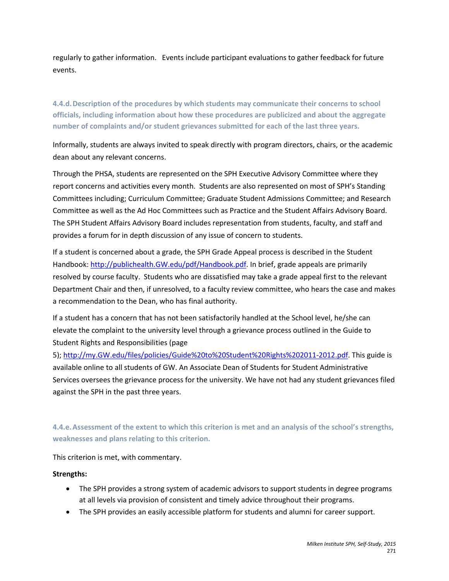regularly to gather information. Events include participant evaluations to gather feedback for future events.

**4.4.d.Description of the procedures by which students may communicate their concerns to school officials, including information about how these procedures are publicized and about the aggregate number of complaints and/or student grievances submitted for each of the last three years.**

Informally, students are always invited to speak directly with program directors, chairs, or the academic dean about any relevant concerns.

Through the PHSA, students are represented on the SPH Executive Advisory Committee where they report concerns and activities every month. Students are also represented on most of SPH's Standing Committees including; Curriculum Committee; Graduate Student Admissions Committee; and Research Committee as well as the Ad Hoc Committees such as Practice and the Student Affairs Advisory Board. The SPH Student Affairs Advisory Board includes representation from students, faculty, and staff and provides a forum for in depth discussion of any issue of concern to students.

If a student is concerned about a grade, the SPH Grade Appeal process is described in the Student Handbook[: http://publichealth.GW.edu/pdf/Handbook.pdf.](http://publichealth.gwu.edu/pdf/Handbook.pdf) In brief, grade appeals are primarily resolved by course faculty. Students who are dissatisfied may take a grade appeal first to the relevant Department Chair and then, if unresolved, to a faculty review committee, who hears the case and makes a recommendation to the Dean, who has final authority.

If a student has a concern that has not been satisfactorily handled at the School level, he/she can elevate the complaint to the university level through a grievance process outlined in the Guide to Student Rights and Responsibilities (page

5); [http://my.GW.edu/files/policies/Guide%20to%20Student%20Rights%202011-2012.pdf.](http://my.gwu.edu/files/policies/Guide%20to%20Student%20Rights%202011-2012.pdf) This guide is available online to all students of GW. An Associate Dean of Students for Student Administrative Services oversees the grievance process for the university. We have not had any student grievances filed against the SPH in the past three years.

**4.4.e.Assessment of the extent to which this criterion is met and an analysis of the school's strengths, weaknesses and plans relating to this criterion.**

This criterion is met, with commentary.

#### **Strengths:**

- The SPH provides a strong system of academic advisors to support students in degree programs at all levels via provision of consistent and timely advice throughout their programs.
- The SPH provides an easily accessible platform for students and alumni for career support.